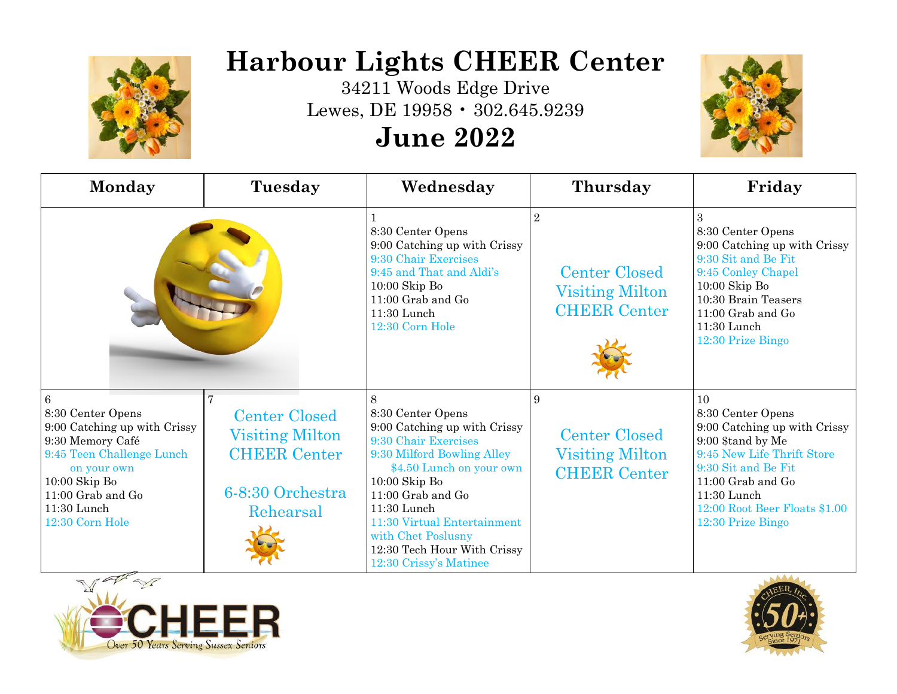

## **Harbour Lights CHEER Center**

34211 Woods Edge Drive Lewes, DE 19958 • 302.645.9239

## **June 2022**



| Monday                                                                                                                                                                                                           | Tuesday                                                                                                     | Wednesday                                                                                                                                                                                                                                                                                                     | Thursday                                                                                | Friday                                                                                                                                                                                                                            |
|------------------------------------------------------------------------------------------------------------------------------------------------------------------------------------------------------------------|-------------------------------------------------------------------------------------------------------------|---------------------------------------------------------------------------------------------------------------------------------------------------------------------------------------------------------------------------------------------------------------------------------------------------------------|-----------------------------------------------------------------------------------------|-----------------------------------------------------------------------------------------------------------------------------------------------------------------------------------------------------------------------------------|
|                                                                                                                                                                                                                  |                                                                                                             | 8:30 Center Opens<br>9:00 Catching up with Crissy<br>9:30 Chair Exercises<br>9:45 and That and Aldi's<br>$10:00$ Skip Bo<br>11:00 Grab and Go<br>11:30 Lunch<br>12:30 Corn Hole                                                                                                                               | $\overline{2}$<br><b>Center Closed</b><br><b>Visiting Milton</b><br><b>CHEER Center</b> | 8:30 Center Opens<br>9:00 Catching up with Crissy<br>9:30 Sit and Be Fit<br>9:45 Conley Chapel<br>$10:00$ Skip Bo<br>10:30 Brain Teasers<br>$11:00$ Grab and Go<br>11:30 Lunch<br>12:30 Prize Bingo                               |
| $6\overline{6}$<br>8:30 Center Opens<br>9:00 Catching up with Crissy<br>9:30 Memory Café<br>9:45 Teen Challenge Lunch<br>on your own<br>$10:00$ Skip Bo<br>11:00 Grab and Go<br>$11:30$ Lunch<br>12:30 Corn Hole | 7<br><b>Center Closed</b><br><b>Visiting Milton</b><br><b>CHEER Center</b><br>6-8:30 Orchestra<br>Rehearsal | 8<br>8:30 Center Opens<br>9:00 Catching up with Crissy<br>9:30 Chair Exercises<br>9:30 Milford Bowling Alley<br>\$4.50 Lunch on your own<br>$10:00$ Skip Bo<br>11:00 Grab and Go<br>11:30 Lunch<br>11:30 Virtual Entertainment<br>with Chet Poslusny<br>12:30 Tech Hour With Crissy<br>12:30 Crissy's Matinee | 9<br><b>Center Closed</b><br><b>Visiting Milton</b><br><b>CHEER Center</b>              | 10<br>8:30 Center Opens<br>9:00 Catching up with Crissy<br>9:00 \$tand by Me<br>9:45 New Life Thrift Store<br>9:30 Sit and Be Fit<br>11:00 Grab and Go<br>$11:30$ Lunch<br>$12:00$ Root Beer Floats $\$1.00$<br>12:30 Prize Bingo |